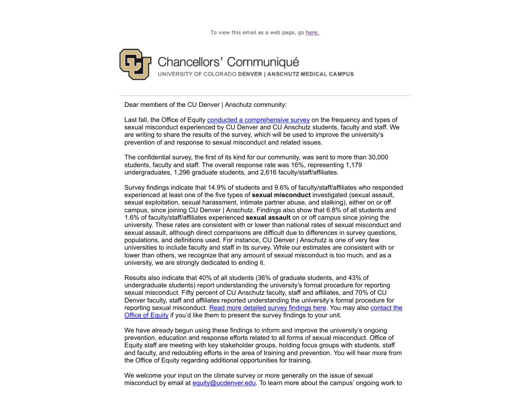

Dear members of the CU Denver | Anschutz community:

Last fall, the Office of Equity conducted a comprehensive survey on the frequency and types of sexual misconduct experienced by CU Denver and CU Anschutz students, faculty and staff. We are writing to share the results of the survey, which will be used to improve the university's prevention of and response to sexual misconduct and related issues.

The confidential survey, the first of its kind for our community, was sent to more than 30,000 students, faculty and staff. The overall response rate was 16%, representing 1,179 undergraduates, 1,296 graduate students, and 2,616 faculty/staff/affiliates.

Survey findings indicate that 14.9% of students and 9.6% of faculty/staff/affiliates who responded experienced at least one of the five types of **sexual misconduct** investigated (sexual assault, sexual exploitation, sexual harassment, intimate partner abuse, and stalking), either on or off campus, since joining CU Denver | Anschutz. Findings also show that 6.8% of all students and 1.6% of faculty/staff/affiliates experienced **sexual assault** on or off campus since joining the university. These rates are consistent with or lower than national rates of sexual misconduct and sexual assault, although direct comparisons are difficult due to differences in survey questions, populations, and definitions used. For instance, CU Denver | Anschutz is one of very few universities to include faculty and staff in its survey. While our estimates are consistent with or lower than others, we recognize that any amount of sexual misconduct is too much, and as a university, we are strongly dedicated to ending it.

Results also indicate that 40% of all students (36% of graduate students, and 43% of undergraduate students) report understanding the university's formal procedure for reporting sexual misconduct. Fifty percent of CU Anschutz faculty, staff and affiliates, and 70% of CU Denver faculty, staff and affiliates reported understanding the university's formal procedure for reporting sexual misconduct. Read more detailed survey findings here. You may also contact the Office of Equity if you'd like them to present the survey findings to your unit.

We have already begun using these findings to inform and improve the university's ongoing prevention, education and response efforts related to all forms of sexual misconduct. Office of Equity staff are meeting with key stakeholder groups, holding focus groups with students, staff and faculty, and redoubling efforts in the area of training and prevention. You will hear more from the Office of Equity regarding additional opportunities for training.

We welcome your input on the climate survey or more generally on the issue of sexual misconduct by email at equity@ucdenver.edu. To learn more about the campus' ongoing work to